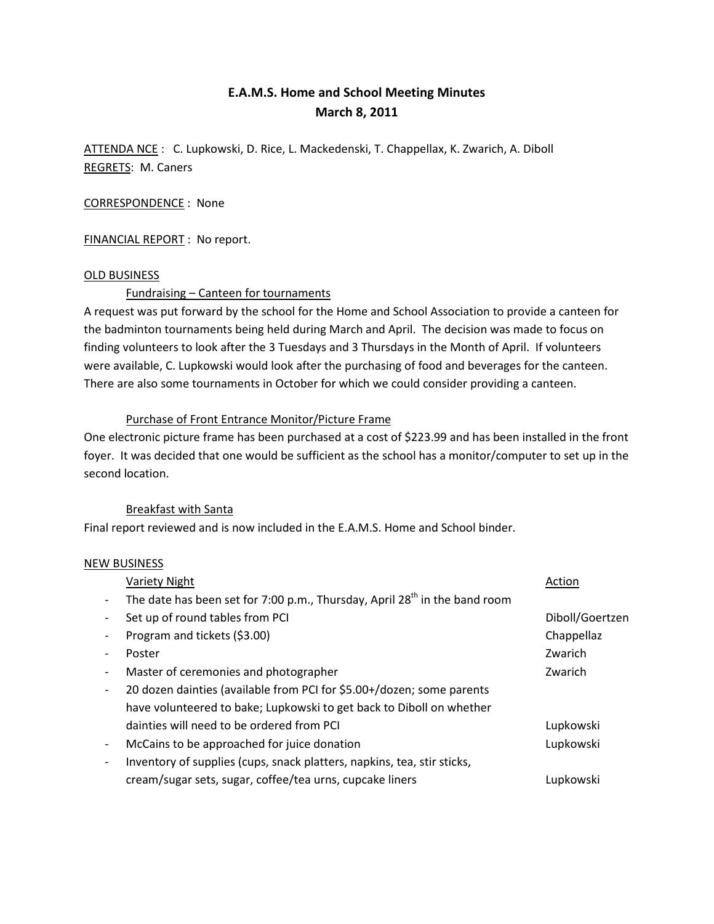# E.A.M.S. Home and School Meeting Minutes March 8, 2011

ATTENDA NCE : C. Lupkowski, D. Rice, L. Mackedenski, T. Chappellax, K. Zwarich, A. Diboll REGRETS: M. Caners

## CORRESPONDENCE : None

FINANCIAL REPORT : No report.

## OLD BUSINESS

Fundraising – Canteen for tournaments

A request was put forward by the school for the Home and School Association to provide a canteen for the badminton tournaments being held during March and April. The decision was made to focus on finding volunteers to look after the 3 Tuesdays and 3 Thursdays in the Month of April. If volunteers were available, C. Lupkowski would look after the purchasing of food and beverages for the canteen. There are also some tournaments in October for which we could consider providing a canteen.

#### Purchase of Front Entrance Monitor/Picture Frame

One electronic picture frame has been purchased at a cost of \$223.99 and has been installed in the front foyer. It was decided that one would be sufficient as the school has a monitor/computer to set up in the second location.

#### Breakfast with Santa

Final report reviewed and is now included in the E.A.M.S. Home and School binder.

#### NEW BUSINESS

| <b>Variety Night</b>                                                                   | Action          |
|----------------------------------------------------------------------------------------|-----------------|
| The date has been set for 7:00 p.m., Thursday, April 28 <sup>th</sup> in the band room |                 |
| Set up of round tables from PCI                                                        | Diboll/Goertzen |
| Program and tickets (\$3.00)                                                           | Chappellaz      |
| Poster                                                                                 | Zwarich         |
| Master of ceremonies and photographer                                                  | Zwarich         |
| 20 dozen dainties (available from PCI for \$5.00+/dozen; some parents                  |                 |
| have volunteered to bake; Lupkowski to get back to Diboll on whether                   |                 |
| dainties will need to be ordered from PCI                                              | Lupkowski       |
| McCains to be approached for juice donation                                            | Lupkowski       |
| Inventory of supplies (cups, snack platters, napkins, tea, stir sticks,                |                 |
| cream/sugar sets, sugar, coffee/tea urns, cupcake liners                               | Lupkowski       |